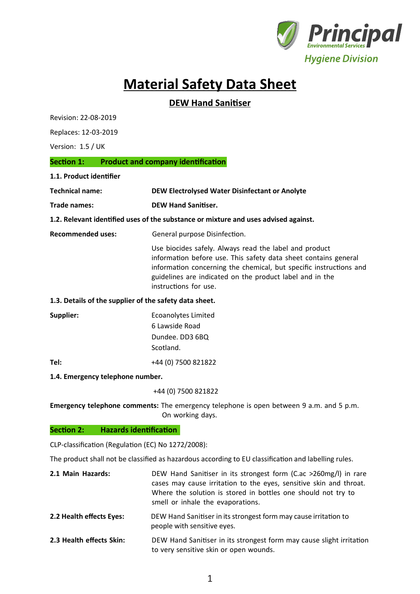

# **Material Safety Data Sheet**

# **DEW Hand Sanitiser**

Revision: 22-08-2019

Replaces: 12-03-2019

Version: 1.5 / UK

#### **Section 1: Product and company identification**

**1.1. Product identifier**

| Technical name: | DEW Electrolysed Water Disinfectant or Anolyte |
|-----------------|------------------------------------------------|
|-----------------|------------------------------------------------|

**Trade names: DEW Hand Sanitiser.**

#### **1.2. Relevant identified uses of the substance or mixture and uses advised against.**

**Recommended uses:** General purpose Disinfection.

Use biocides safely. Always read the label and product information before use. This safety data sheet contains general information concerning the chemical, but specific instructions and guidelines are indicated on the product label and in the instructions for use.

#### **1.3. Details of the supplier of the safety data sheet.**

| Supplier: | <b>Ecoanolytes Limited</b> |
|-----------|----------------------------|
|           | 6 Lawside Road             |
|           | Dundee. DD3 6BQ            |
|           | Scotland.                  |
| Tel:      | +44 (0) 7500 821822        |

#### **1.4. Emergency telephone number.**

+44 (0) 7500 821822

**Emergency telephone comments:** The emergency telephone is open between 9 a.m. and 5 p.m. On working days.

#### **Section 2: Hazards identification**

CLP-classification (Regulation (EC) No 1272/2008):

The product shall not be classified as hazardous according to EU classification and labelling rules.

| 2.1 Main Hazards:        | DEW Hand Sanitiser in its strongest form (C.ac >260mg/l) in rare<br>cases may cause irritation to the eyes, sensitive skin and throat.<br>Where the solution is stored in bottles one should not try to<br>smell or inhale the evaporations. |
|--------------------------|----------------------------------------------------------------------------------------------------------------------------------------------------------------------------------------------------------------------------------------------|
| 2.2 Health effects Eyes: | DEW Hand Sanitiser in its strongest form may cause irritation to<br>people with sensitive eyes.                                                                                                                                              |
| 22 Usalik affasis Chini  | DEW Hand Capiticar in its strongest form mou squee slight irritation                                                                                                                                                                         |

**2.3 Health effects Skin:** DEW Hand Sanitiser in its strongest form may cause slight irritation to very sensitive skin or open wounds.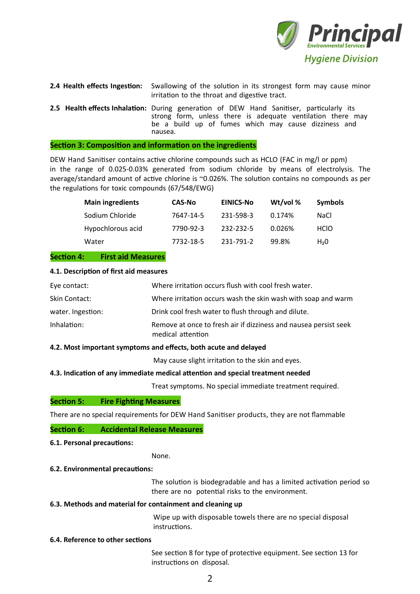

| 2.4 Health effects Ingestion: | Swallowing of the solution in its strongest form may cause minor<br>irritation to the throat and digestive tract.                                                                                                                 |  |
|-------------------------------|-----------------------------------------------------------------------------------------------------------------------------------------------------------------------------------------------------------------------------------|--|
|                               | <b>2.5 Health effects Inhalation:</b> During generation of DEW Hand Sanitiser, particularly its<br>strong form, unless there is adequate ventilation there may<br>be a build up of fumes which may cause dizziness and<br>nausea. |  |

#### **Section 3: Composition and information on the ingredients**

DEW Hand Sanitiser contains active chlorine compounds such as HCLO (FAC in mg/l or ppm) in the range of 0.025-0.03% generated from sodium chloride by means of electrolysis. The average/standard amount of active chlorine is ~0.026%. The solution contains no compounds as per the regulations for toxic compounds (67/548/EWG)

| <b>Main ingredients</b> | <b>CAS-No</b> | <b>EINICS-No</b> | Wt/vol % | <b>Symbols</b>   |
|-------------------------|---------------|------------------|----------|------------------|
| Sodium Chloride         | 7647-14-5     | 231-598-3        | 0.174%   | NaCl             |
| Hypochlorous acid       | 7790-92-3     | 232-232-5        | 0.026%   | <b>HCIO</b>      |
| Water                   | 7732-18-5     | 231-791-2        | 99.8%    | H <sub>2</sub> 0 |

#### **Section 4: First aid Measures**

#### **4.1. Description of first aid measures**

| Eye contact:      | Where irritation occurs flush with cool fresh water.                                  |
|-------------------|---------------------------------------------------------------------------------------|
| Skin Contact:     | Where irritation occurs wash the skin wash with soap and warm                         |
| water. Ingestion: | Drink cool fresh water to flush through and dilute.                                   |
| Inhalation:       | Remove at once to fresh air if dizziness and nausea persist seek<br>medical attention |

#### **4.2. Most important symptoms and effects, both acute and delayed**

May cause slight irritation to the skin and eyes.

#### **4.3. Indication of any immediate medical attention and special treatment needed**

Treat symptoms. No special immediate treatment required.

#### **Section 5: Fire Fighting Measures**

There are no special requirements for DEW Hand Sanitiser products, they are not flammable

#### **Section 6: Accidental Release Measures**

### **6.1. Personal precautions:**

None.

#### **6.2. Environmental precautions:**

The solution is biodegradable and has a limited activation period so there are no potential risks to the environment.

#### **6.3. Methods and material for containment and cleaning up**

Wipe up with disposable towels there are no special disposal instructions.

#### **6.4. Reference to other sections**

See section 8 for type of protective equipment. See section 13 for instructions on disposal.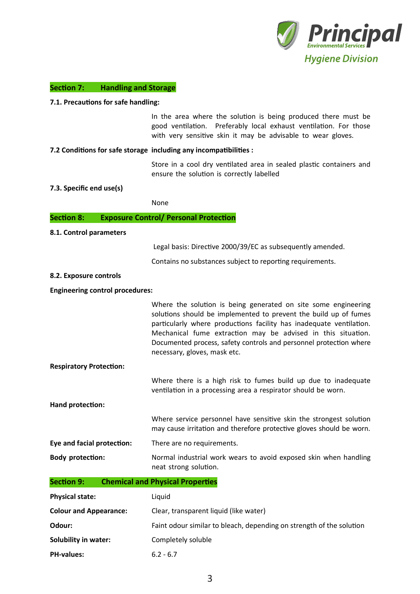

#### **Section 7: Handling and Storage**

#### **7.1. Precautions for safe handling:**

In the area where the solution is being produced there must be good ventilation. Preferably local exhaust ventilation. For those with very sensitive skin it may be advisable to wear gloves.

#### **7.2 Conditions for safe storage including any incompatibilities :**

Store in a cool dry ventilated area in sealed plastic containers and ensure the solution is correctly labelled

#### **7.3. Specific end use(s)**

None

#### **Section 8: Exposure Control/ Personal Protection**

#### **8.1. Control parameters**

Legal basis: Directive 2000/39/EC as subsequently amended.

Contains no substances subject to reporting requirements.

#### **8.2. Exposure controls**

#### **Engineering control procedures:**

Where the solution is being generated on site some engineering solutions should be implemented to prevent the build up of fumes particularly where productions facility has inadequate ventilation. Mechanical fume extraction may be advised in this situation. Documented process, safety controls and personnel protection where necessary, gloves, mask etc.

**Respiratory Protection:**

Where there is a high risk to fumes build up due to inadequate ventilation in a processing area a respirator should be worn.

**Hand protection:**

Where service personnel have sensitive skin the strongest solution may cause irritation and therefore protective gloves should be worn.

**Eye and facial protection:** There are no requirements.

**Body protection:** Normal industrial work wears to avoid exposed skin when handling neat strong solution.

**Section 9: Chemical and Physical Properties**

| <b>Physical state:</b>        | Liquid                                                               |  |
|-------------------------------|----------------------------------------------------------------------|--|
| <b>Colour and Appearance:</b> | Clear, transparent liquid (like water)                               |  |
| Odour:                        | Faint odour similar to bleach, depending on strength of the solution |  |
| Solubility in water:          | Completely soluble                                                   |  |
| <b>PH-values:</b>             | $6.2 - 6.7$                                                          |  |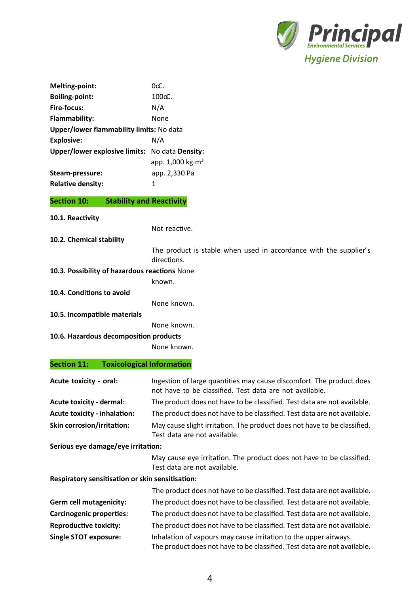

| Melting-point:                                 | $0 \alpha$                   |  |
|------------------------------------------------|------------------------------|--|
| <b>Boiling-point:</b>                          | $100o$ .                     |  |
| <b>Fire-focus:</b>                             | N/A                          |  |
| <b>Flammability:</b>                           | None                         |  |
| Upper/lower flammability limits: No data       |                              |  |
| <b>Explosive:</b>                              | N/A                          |  |
| Upper/lower explosive limits: No data Density: |                              |  |
|                                                | app. 1,000 kg.m <sup>3</sup> |  |
| Steam-pressure:                                | app. 2,330 Pa                |  |
| <b>Relative density:</b>                       | 1                            |  |

#### **Stability and Reactivity** Section 10:

10.1. Reactivity

Not reactive.

10.2. Chemical stability

The product is stable when used in accordance with the supplier's directions.

10.3. Possibility of hazardous reactions None

known.

10.4. Conditions to avoid

None known. 10.5. Incompatible materials

None known.

10.6. Hazardous decomposition products

None known.

# **Section 11: Toxicological Information**

| Acute toxicity - oral:              | Ingestion of large quantities may cause discomfort. The product does<br>not have to be classified. Test data are not available. |
|-------------------------------------|---------------------------------------------------------------------------------------------------------------------------------|
| <b>Acute toxicity - dermal:</b>     | The product does not have to be classified. Test data are not available.                                                        |
| <b>Acute toxicity - inhalation:</b> | The product does not have to be classified. Test data are not available.                                                        |
| <b>Skin corrosion/irritation:</b>   | May cause slight irritation. The product does not have to be classified.<br>Test data are not available.                        |
| Sarinus ava damaga/ava irritation.  |                                                                                                                                 |

serious eye damage/eye irritation:

May cause eye irritation. The product does not have to be classified. Test data are not available.

Respiratory sensitisation or skin sensitisation:

|                                 | The product does not have to be classified. Test data are not available.                                                                     |
|---------------------------------|----------------------------------------------------------------------------------------------------------------------------------------------|
| Germ cell mutagenicity:         | The product does not have to be classified. Test data are not available.                                                                     |
| <b>Carcinogenic properties:</b> | The product does not have to be classified. Test data are not available.                                                                     |
| <b>Reproductive toxicity:</b>   | The product does not have to be classified. Test data are not available.                                                                     |
| <b>Single STOT exposure:</b>    | Inhalation of vapours may cause irritation to the upper airways.<br>The product does not have to be classified. Test data are not available. |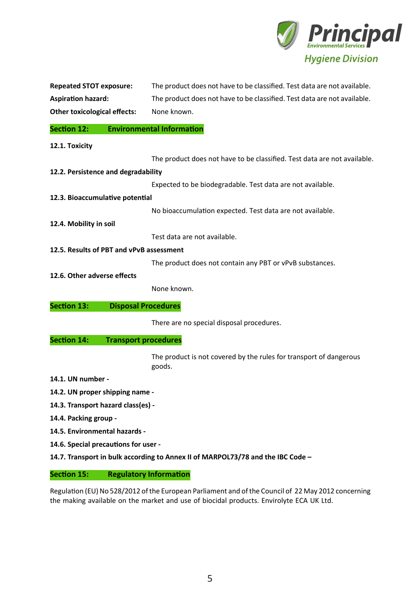

| <b>Repeated STOT exposure:</b>      | The product does not have to be classified. Test data are not available. |
|-------------------------------------|--------------------------------------------------------------------------|
| <b>Aspiration hazard:</b>           | The product does not have to be classified. Test data are not available. |
| <b>Other toxicological effects:</b> | None known.                                                              |

### **Section 12: Environmental Information**

**12.1. Toxicity**

| The product does not have to be classified. Test data are not available. |  |
|--------------------------------------------------------------------------|--|
|--------------------------------------------------------------------------|--|

**12.2. Persistence and degradability**

Expected to be biodegradable. Test data are not available.

**12.3. Bioaccumulative potential**

No bioaccumulation expected. Test data are not available.

**12.4. Mobility in soil**

Test data are not available.

**12.5. Results of PBT and vPvB assessment**

The product does not contain any PBT or vPvB substances.

**12.6. Other adverse effects**

None known.

**Section 13: Disposal Procedures**

There are no special disposal procedures.

#### **Section 14: Transport procedures**

The product is not covered by the rules for transport of dangerous goods.

- **14.1. UN number -**
- **14.2. UN proper shipping name -**
- **14.3. Transport hazard class(es) -**
- **14.4. Packing group -**
- **14.5. Environmental hazards -**
- **14.6. Special precautions for user -**
- **14.7. Transport in bulk according to Annex II of MARPOL73/78 and the IBC Code –**

#### **Section 15: Regulatory Information**

Regulation (EU) No 528/2012 of the European Parliament and of the Council of 22 May 2012 concerning the making available on the market and use of biocidal products. Envirolyte ECA UK Ltd.